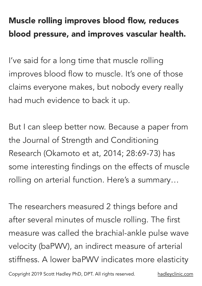## Muscle rolling improves blood flow, reduces blood pressure, and improves vascular health.

I've said for a long time that muscle rolling improves blood flow to muscle. It's one of those claims everyone makes, but nobody every really had much evidence to back it up.

But I can sleep better now. Because a paper from the Journal of Strength and Conditioning Research (Okamoto et at, 2014; 28:69-73) has some interesting findings on the effects of muscle rolling on arterial function. Here's a summary…

The researchers measured 2 things before and after several minutes of muscle rolling. The first measure was called the brachial-ankle pulse wave velocity (baPWV), an indirect measure of arterial stiffness. A lower baPWV indicates more elasticity Copyright 2019 Scott Hadley PhD, DPT. All rights reserved. [hadleyclinic.com](http://hadleyclinic.com)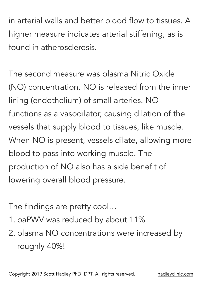in arterial walls and better blood flow to tissues. A higher measure indicates arterial stiffening, as is found in atherosclerosis.

The second measure was plasma Nitric Oxide (NO) concentration. NO is released from the inner lining (endothelium) of small arteries. NO functions as a vasodilator, causing dilation of the vessels that supply blood to tissues, like muscle. When NO is present, vessels dilate, allowing more blood to pass into working muscle. The production of NO also has a side benefit of lowering overall blood pressure.

The findings are pretty cool…

1. baPWV was reduced by about 11%

2. plasma NO concentrations were increased by roughly 40%!

Copyright 2019 Scott Hadley PhD, DPT. All rights reserved. [hadleyclinic.com](http://hadleyclinic.com)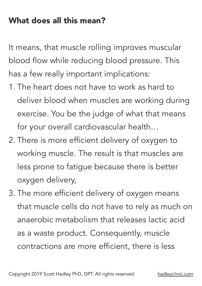## What does all this mean?

It means, that muscle rolling improves muscular blood flow while reducing blood pressure. This has a few really important implications:

- 1. The heart does not have to work as hard to deliver blood when muscles are working during exercise. You be the judge of what that means for your overall cardiovascular health…
- 2. There is more efficient delivery of oxygen to working muscle. The result is that muscles are less prone to fatigue because there is better oxygen delivery,
- 3. The more efficient delivery of oxygen means that muscle cells do not have to rely as much on anaerobic metabolism that releases lactic acid as a waste product. Consequently, muscle contractions are more efficient, there is less

Copyright 2019 Scott Hadley PhD, DPT. All rights reserved. [hadleyclinic.com](http://hadleyclinic.com)